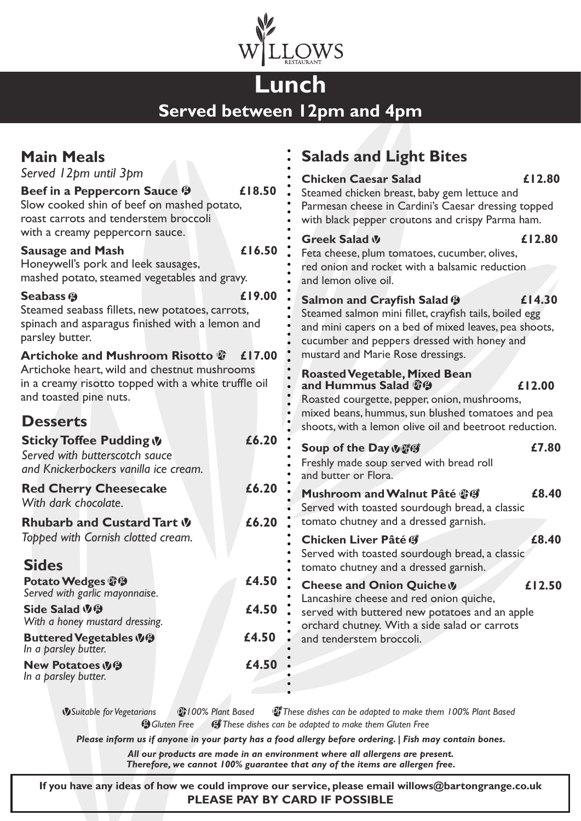

## **Lunch Served between 12pm and 4pm**

|                                                                                                                        | <b>Salads and Light Bites</b>                                                                                                                                                                                                                       |
|------------------------------------------------------------------------------------------------------------------------|-----------------------------------------------------------------------------------------------------------------------------------------------------------------------------------------------------------------------------------------------------|
| £18.50<br>Slow cooked shin of beef on mashed potato,                                                                   | £12.80<br><b>Chicken Caesar Salad</b><br>Steamed chicken breast, baby gem lettuce and<br>Parmesan cheese in Cardini's Caesar dressing topped<br>with black pepper croutons and crispy Parma ham.                                                    |
| £16.50<br>mashed potato, steamed vegetables and gravy.                                                                 | £12.80<br>Greek Salad W<br>Feta cheese, plum tomatoes, cucumber, olives,<br>red onion and rocket with a balsamic reduction<br>and lemon olive oil.                                                                                                  |
| £19.00<br>Steamed seabass fillets, new potatoes, carrots,<br>spinach and asparagus finished with a lemon and<br>£17.00 | £14.30<br><b>Salmon and Crayfish Salad 9</b><br>Steamed salmon mini fillet, crayfish tails, boiled egg<br>and mini capers on a bed of mixed leaves, pea shoots,<br>cucumber and peppers dressed with honey and<br>mustard and Marie Rose dressings. |
| Artichoke heart, wild and chestnut mushrooms<br>in a creamy risotto topped with a white truffle oil                    | <b>Roasted Vegetable, Mixed Bean</b><br>and Hummus Salad <sup>1</sup><br>£12.00<br>Roasted courgette, pepper, onion, mushrooms,<br>mixed beans, hummus, sun blushed tomatoes and pea<br>shoots, with a lemon olive oil and beetroot reduction.      |
| £6.20                                                                                                                  | £7.80<br>Soup of the Day Vurg<br>Freshly made soup served with bread roll<br>and butter or Flora.                                                                                                                                                   |
| £6.20                                                                                                                  | £8.40<br>Mushroom and Walnut Pâté 少(学)<br>Served with toasted sourdough bread, a classic<br>tomato chutney and a dressed garnish.                                                                                                                   |
|                                                                                                                        | Chicken Liver Pâté #<br>£8.40<br>Served with toasted sourdough bread, a classic<br>tomato chutney and a dressed garnish.                                                                                                                            |
| £4.50                                                                                                                  | <b>Cheese and Onion Quiche V</b><br>£12.50<br>Lancashire cheese and red onion quiche,                                                                                                                                                               |
| £4.50                                                                                                                  | served with buttered new potatoes and an apple<br>orchard chutney. With a side salad or carrots                                                                                                                                                     |
| £4.50                                                                                                                  | and tenderstem broccoli.                                                                                                                                                                                                                            |
| £4.50                                                                                                                  |                                                                                                                                                                                                                                                     |
|                                                                                                                        | £6.20                                                                                                                                                                                                                                               |

 *Suitable for Vegetarians 100% Plant Based These dishes can be adapted to make them 100% Plant Based* **G** Gluten Free G These dishes can be adapted to make them Gluten Free

*Please inform us if anyone in your party has a food allergy before ordering. | Fish may contain bones.*

*All our products are made in an environment where all allergens are present. Therefore, we cannot 100% guarantee that any of the items are allergen free.*

**If you have any ideas of how we could improve our service, please email willows@bartongrange.co.uk PLEASE PAY BY CARD IF POSSIBLE**